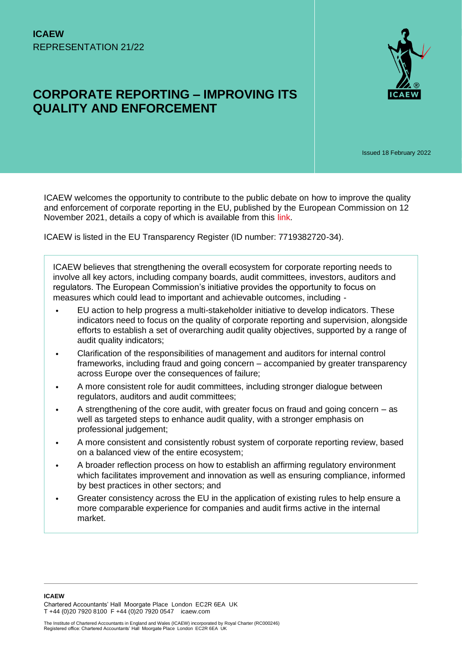

# **CORPORATE REPORTING – IMPROVING ITS QUALITY AND ENFORCEMENT**

Issued 18 February 2022

ICAEW welcomes the opportunity to contribute to the public debate on how to improve the quality and enforcement of corporate reporting in the EU, published by the European Commission on 12 November 2021, details a copy of which is available from this [link.](https://ec.europa.eu/info/law/better-regulation/have-your-say/initiatives/13128-Corporate-reporting-improving-its-quality-and-enforcement_en)

ICAEW is listed in the EU Transparency Register (ID number: 7719382720-34).

ICAEW believes that strengthening the overall ecosystem for corporate reporting needs to involve all key actors, including company boards, audit committees, investors, auditors and regulators. The European Commission's initiative provides the opportunity to focus on measures which could lead to important and achievable outcomes, including -

- EU action to help progress a multi-stakeholder initiative to develop indicators. These indicators need to focus on the quality of corporate reporting and supervision, alongside efforts to establish a set of overarching audit quality objectives, supported by a range of audit quality indicators;
- Clarification of the responsibilities of management and auditors for internal control frameworks, including fraud and going concern – accompanied by greater transparency across Europe over the consequences of failure;
- A more consistent role for audit committees, including stronger dialogue between regulators, auditors and audit committees;
- A strengthening of the core audit, with greater focus on fraud and going concern  $-$  as well as targeted steps to enhance audit quality, with a stronger emphasis on professional judgement;
- A more consistent and consistently robust system of corporate reporting review, based on a balanced view of the entire ecosystem;
- A broader reflection process on how to establish an affirming regulatory environment which facilitates improvement and innovation as well as ensuring compliance, informed by best practices in other sectors; and
- Greater consistency across the EU in the application of existing rules to help ensure a more comparable experience for companies and audit firms active in the internal market.

**ICAEW**  Chartered Accountants' Hall Moorgate Place London EC2R 6EA UK T +44 (0)20 7920 8100 F +44 (0)20 7920 0547 icaew.com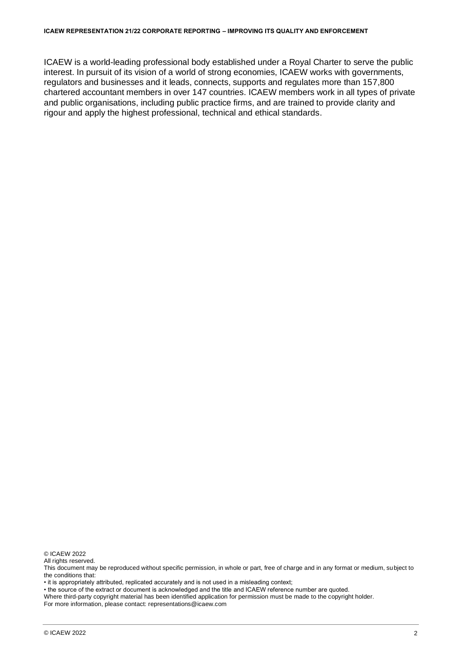ICAEW is a world-leading professional body established under a Royal Charter to serve the public interest. In pursuit of its vision of a world of strong economies, ICAEW works with governments, regulators and businesses and it leads, connects, supports and regulates more than 157,800 chartered accountant members in over 147 countries. ICAEW members work in all types of private and public organisations, including public practice firms, and are trained to provide clarity and rigour and apply the highest professional, technical and ethical standards.

© ICAEW 2022

All rights reserved.

This document may be reproduced without specific permission, in whole or part, free of charge and in any format or medium, subject to the conditions that:

• it is appropriately attributed, replicated accurately and is not used in a misleading context;

• the source of the extract or document is acknowledged and the title and ICAEW reference number are quoted.

Where third-party copyright material has been identified application for permission must be made to the copyright holder. For more information, please contact: representations@icaew.com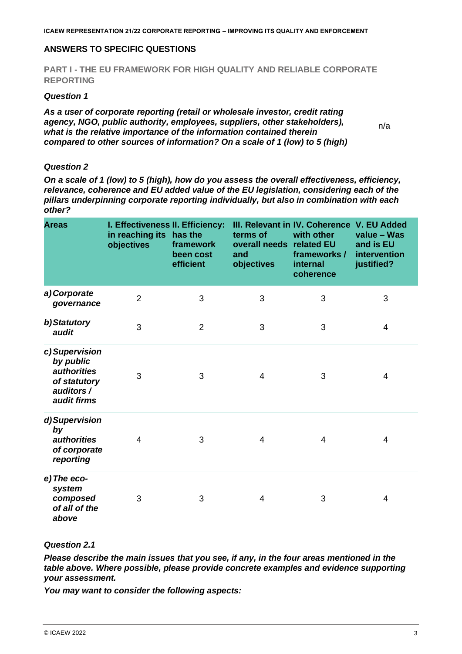### **ANSWERS TO SPECIFIC QUESTIONS**

#### **PART I - THE EU FRAMEWORK FOR HIGH QUALITY AND RELIABLE CORPORATE REPORTING**

#### *Question 1*

*As a user of corporate reporting (retail or wholesale investor, credit rating agency, NGO, public authority, employees, suppliers, other stakeholders), what is the relative importance of the information contained therein compared to other sources of information? On a scale of 1 (low) to 5 (high)* 

n/a

#### *Question 2*

*On a scale of 1 (low) to 5 (high), how do you assess the overall effectiveness, efficiency, relevance, coherence and EU added value of the EU legislation, considering each of the pillars underpinning corporate reporting individually, but also in combination with each other?*

| <b>Areas</b>                                                                                   | I. Effectiveness II. Efficiency:<br>in reaching its has the<br>objectives | framework<br>been cost<br>efficient | terms of<br>overall needs related EU<br>and<br>objectives | III. Relevant in IV. Coherence V. EU Added<br>with other<br>frameworks /<br>internal<br>coherence | value - Was<br>and is EU<br>intervention<br>justified? |
|------------------------------------------------------------------------------------------------|---------------------------------------------------------------------------|-------------------------------------|-----------------------------------------------------------|---------------------------------------------------------------------------------------------------|--------------------------------------------------------|
| a) Corporate<br>governance                                                                     | $\overline{2}$                                                            | 3                                   | 3                                                         | 3                                                                                                 | 3                                                      |
| b)Statutory<br>audit                                                                           | 3                                                                         | $\overline{2}$                      | 3                                                         | 3                                                                                                 | $\overline{4}$                                         |
| c) Supervision<br>by public<br><i>authorities</i><br>of statutory<br>auditors /<br>audit firms | 3                                                                         | 3                                   | $\overline{4}$                                            | 3                                                                                                 | 4                                                      |
| d)Supervision<br>by<br><i>authorities</i><br>of corporate<br>reporting                         | $\overline{4}$                                                            | 3                                   | $\overline{4}$                                            | 4                                                                                                 | 4                                                      |
| e) The eco-<br>system<br>composed<br>of all of the<br>above                                    | 3                                                                         | 3                                   | $\overline{4}$                                            | 3                                                                                                 | 4                                                      |

#### *Question 2.1*

*Please describe the main issues that you see, if any, in the four areas mentioned in the table above. Where possible, please provide concrete examples and evidence supporting your assessment.* 

*You may want to consider the following aspects:*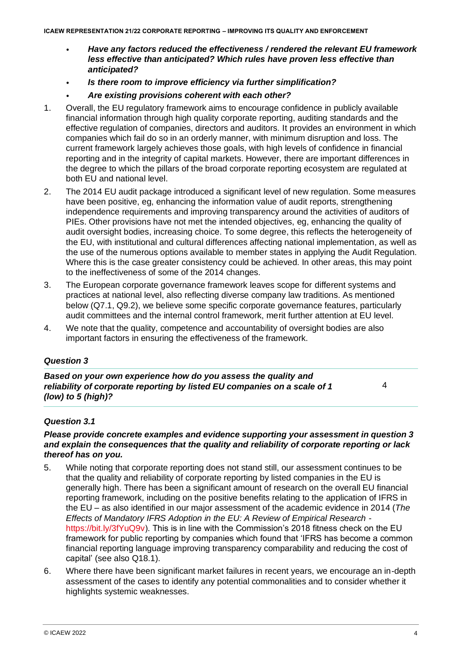- *Have any factors reduced the effectiveness / rendered the relevant EU framework less effective than anticipated? Which rules have proven less effective than anticipated?*
- *Is there room to improve efficiency via further simplification?*
- *Are existing provisions coherent with each other?*
- 1. Overall, the EU regulatory framework aims to encourage confidence in publicly available financial information through high quality corporate reporting, auditing standards and the effective regulation of companies, directors and auditors. It provides an environment in which companies which fail do so in an orderly manner, with minimum disruption and loss. The current framework largely achieves those goals, with high levels of confidence in financial reporting and in the integrity of capital markets. However, there are important differences in the degree to which the pillars of the broad corporate reporting ecosystem are regulated at both EU and national level.
- 2. The 2014 EU audit package introduced a significant level of new regulation. Some measures have been positive, eg, enhancing the information value of audit reports, strengthening independence requirements and improving transparency around the activities of auditors of PIEs. Other provisions have not met the intended objectives, eg, enhancing the quality of audit oversight bodies, increasing choice. To some degree, this reflects the heterogeneity of the EU, with institutional and cultural differences affecting national implementation, as well as the use of the numerous options available to member states in applying the Audit Regulation. Where this is the case greater consistency could be achieved. In other areas, this may point to the ineffectiveness of some of the 2014 changes.
- 3. The European corporate governance framework leaves scope for different systems and practices at national level, also reflecting diverse company law traditions. As mentioned below (Q7.1, Q9.2), we believe some specific corporate governance features, particularly audit committees and the internal control framework, merit further attention at EU level.
- 4. We note that the quality, competence and accountability of oversight bodies are also important factors in ensuring the effectiveness of the framework.

*Based on your own experience how do you assess the quality and reliability of corporate reporting by listed EU companies on a scale of 1 (low) to 5 (high)?*

4

### *Question 3.1*

#### *Please provide concrete examples and evidence supporting your assessment in question 3 and explain the consequences that the quality and reliability of corporate reporting or lack thereof has on you.*

- 5. While noting that corporate reporting does not stand still, our assessment continues to be that the quality and reliability of corporate reporting by listed companies in the EU is generally high. There has been a significant amount of research on the overall EU financial reporting framework, including on the positive benefits relating to the application of IFRS in the EU – as also identified in our major assessment of the academic evidence in 2014 (*The Effects of Mandatory IFRS Adoption in the EU: A Review of Empirical Research* https://bit.ly/3fYuQ9v). This is in line with the Commission's 2018 fitness check on the EU framework for public reporting by companies which found that 'IFRS has become a common financial reporting language improving transparency comparability and reducing the cost of capital' (see also Q18.1).
- 6. Where there have been significant market failures in recent years, we encourage an in-depth assessment of the cases to identify any potential commonalities and to consider whether it highlights systemic weaknesses.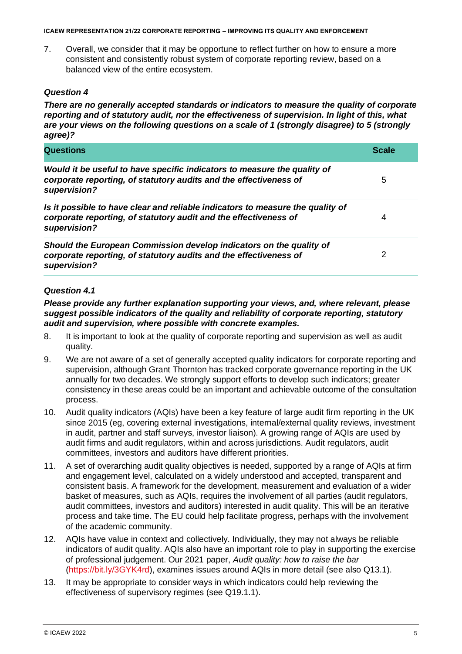7. Overall, we consider that it may be opportune to reflect further on how to ensure a more consistent and consistently robust system of corporate reporting review, based on a balanced view of the entire ecosystem.

### *Question 4*

*There are no generally accepted standards or indicators to measure the quality of corporate reporting and of statutory audit, nor the effectiveness of supervision. In light of this, what are your views on the following questions on a scale of 1 (strongly disagree) to 5 (strongly agree)?*

| <b>Questions</b>                                                                                                                                                   | <b>Scale</b> |
|--------------------------------------------------------------------------------------------------------------------------------------------------------------------|--------------|
| Would it be useful to have specific indicators to measure the quality of<br>corporate reporting, of statutory audits and the effectiveness of<br>supervision?      | 5            |
| Is it possible to have clear and reliable indicators to measure the quality of<br>corporate reporting, of statutory audit and the effectiveness of<br>supervision? | 4            |
| Should the European Commission develop indicators on the quality of<br>corporate reporting, of statutory audits and the effectiveness of<br>supervision?           | 2            |

### *Question 4.1*

*Please provide any further explanation supporting your views, and, where relevant, please suggest possible indicators of the quality and reliability of corporate reporting, statutory audit and supervision, where possible with concrete examples.*

- 8. It is important to look at the quality of corporate reporting and supervision as well as audit quality.
- 9. We are not aware of a set of generally accepted quality indicators for corporate reporting and supervision, although Grant Thornton has tracked corporate governance reporting in the UK annually for two decades. We strongly support efforts to develop such indicators; greater consistency in these areas could be an important and achievable outcome of the consultation process.
- 10. Audit quality indicators (AQIs) have been a key feature of large audit firm reporting in the UK since 2015 (eg, covering external investigations, internal/external quality reviews, investment in audit, partner and staff surveys, investor liaison). A growing range of AQIs are used by audit firms and audit regulators, within and across jurisdictions. Audit regulators, audit committees, investors and auditors have different priorities.
- 11. A set of overarching audit quality objectives is needed, supported by a range of AQIs at firm and engagement level, calculated on a widely understood and accepted, transparent and consistent basis. A framework for the development, measurement and evaluation of a wider basket of measures, such as AQIs, requires the involvement of all parties (audit regulators, audit committees, investors and auditors) interested in audit quality. This will be an iterative process and take time. The EU could help facilitate progress, perhaps with the involvement of the academic community.
- 12. AQIs have value in context and collectively. Individually, they may not always be reliable indicators of audit quality. AQIs also have an important role to play in supporting the exercise of professional judgement. Our 2021 paper, *Audit quality: how to raise the bar* (https://bit.ly/3GYK4rd), examines issues around AQIs in more detail (see also Q13.1).
- 13. It may be appropriate to consider ways in which indicators could help reviewing the effectiveness of supervisory regimes (see Q19.1.1).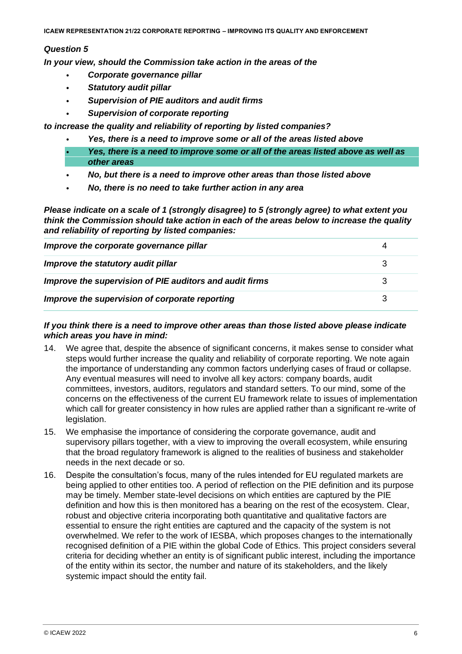*In your view, should the Commission take action in the areas of the* 

- *Corporate governance pillar*
- *Statutory audit pillar*
- *Supervision of PIE auditors and audit firms*
- *Supervision of corporate reporting*

*to increase the quality and reliability of reporting by listed companies?* 

- *Yes, there is a need to improve some or all of the areas listed above*
- *Yes, there is a need to improve some or all of the areas listed above as well as other areas*
- *No, but there is a need to improve other areas than those listed above*
- *No, there is no need to take further action in any area*

*Please indicate on a scale of 1 (strongly disagree) to 5 (strongly agree) to what extent you think the Commission should take action in each of the areas below to increase the quality and reliability of reporting by listed companies:*

| Improve the corporate governance pillar                 |  |
|---------------------------------------------------------|--|
| Improve the statutory audit pillar                      |  |
| Improve the supervision of PIE auditors and audit firms |  |
| Improve the supervision of corporate reporting          |  |

#### *If you think there is a need to improve other areas than those listed above please indicate which areas you have in mind:*

- 14. We agree that, despite the absence of significant concerns, it makes sense to consider what steps would further increase the quality and reliability of corporate reporting. We note again the importance of understanding any common factors underlying cases of fraud or collapse. Any eventual measures will need to involve all key actors: company boards, audit committees, investors, auditors, regulators and standard setters. To our mind, some of the concerns on the effectiveness of the current EU framework relate to issues of implementation which call for greater consistency in how rules are applied rather than a significant re-write of legislation.
- 15. We emphasise the importance of considering the corporate governance, audit and supervisory pillars together, with a view to improving the overall ecosystem, while ensuring that the broad regulatory framework is aligned to the realities of business and stakeholder needs in the next decade or so.
- 16. Despite the consultation's focus, many of the rules intended for EU regulated markets are being applied to other entities too. A period of reflection on the PIE definition and its purpose may be timely. Member state-level decisions on which entities are captured by the PIE definition and how this is then monitored has a bearing on the rest of the ecosystem. Clear, robust and objective criteria incorporating both quantitative and qualitative factors are essential to ensure the right entities are captured and the capacity of the system is not overwhelmed. We refer to the work of IESBA, which proposes changes to the internationally recognised definition of a PIE within the global Code of Ethics. This project considers several criteria for deciding whether an entity is of significant public interest, including the importance of the entity within its sector, the number and nature of its stakeholders, and the likely systemic impact should the entity fail.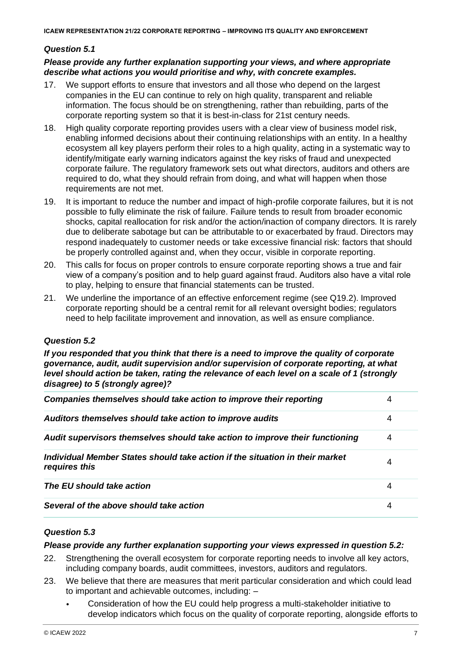### *Question 5.1*

#### *Please provide any further explanation supporting your views, and where appropriate describe what actions you would prioritise and why, with concrete examples.*

- 17. We support efforts to ensure that investors and all those who depend on the largest companies in the EU can continue to rely on high quality, transparent and reliable information. The focus should be on strengthening, rather than rebuilding, parts of the corporate reporting system so that it is best-in-class for 21st century needs.
- 18. High quality corporate reporting provides users with a clear view of business model risk, enabling informed decisions about their continuing relationships with an entity. In a healthy ecosystem all key players perform their roles to a high quality, acting in a systematic way to identify/mitigate early warning indicators against the key risks of fraud and unexpected corporate failure. The regulatory framework sets out what directors, auditors and others are required to do, what they should refrain from doing, and what will happen when those requirements are not met.
- 19. It is important to reduce the number and impact of high-profile corporate failures, but it is not possible to fully eliminate the risk of failure. Failure tends to result from broader economic shocks, capital reallocation for risk and/or the action/inaction of company directors. It is rarely due to deliberate sabotage but can be attributable to or exacerbated by fraud. Directors may respond inadequately to customer needs or take excessive financial risk: factors that should be properly controlled against and, when they occur, visible in corporate reporting.
- 20. This calls for focus on proper controls to ensure corporate reporting shows a true and fair view of a company's position and to help guard against fraud. Auditors also have a vital role to play, helping to ensure that financial statements can be trusted.
- 21. We underline the importance of an effective enforcement regime (see Q19.2). Improved corporate reporting should be a central remit for all relevant oversight bodies; regulators need to help facilitate improvement and innovation, as well as ensure compliance.

#### *Question 5.2*

*If you responded that you think that there is a need to improve the quality of corporate governance, audit, audit supervision and/or supervision of corporate reporting, at what level should action be taken, rating the relevance of each level on a scale of 1 (strongly disagree) to 5 (strongly agree)?*

| Companies themselves should take action to improve their reporting                            |   |
|-----------------------------------------------------------------------------------------------|---|
| Auditors themselves should take action to improve audits                                      | 4 |
| Audit supervisors themselves should take action to improve their functioning                  | 4 |
| Individual Member States should take action if the situation in their market<br>requires this | 4 |
| The EU should take action                                                                     | 4 |
| Several of the above should take action                                                       | 4 |

# *Question 5.3*

#### *Please provide any further explanation supporting your views expressed in question 5.2:*

- 22. Strengthening the overall ecosystem for corporate reporting needs to involve all key actors, including company boards, audit committees, investors, auditors and regulators.
- 23. We believe that there are measures that merit particular consideration and which could lead to important and achievable outcomes, including: –
	- Consideration of how the EU could help progress a multi-stakeholder initiative to develop indicators which focus on the quality of corporate reporting, alongside efforts to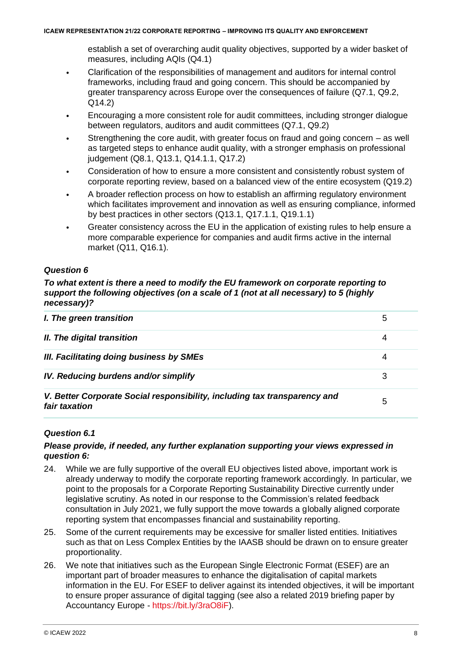establish a set of overarching audit quality objectives, supported by a wider basket of measures, including AQIs (Q4.1)

- Clarification of the responsibilities of management and auditors for internal control frameworks, including fraud and going concern. This should be accompanied by greater transparency across Europe over the consequences of failure (Q7.1, Q9.2, Q14.2)
- Encouraging a more consistent role for audit committees, including stronger dialogue between regulators, auditors and audit committees (Q7.1, Q9.2)
- Strengthening the core audit, with greater focus on fraud and going concern  $-$  as well as targeted steps to enhance audit quality, with a stronger emphasis on professional judgement (Q8.1, Q13.1, Q14.1.1, Q17.2)
- Consideration of how to ensure a more consistent and consistently robust system of corporate reporting review, based on a balanced view of the entire ecosystem (Q19.2)
- A broader reflection process on how to establish an affirming regulatory environment which facilitates improvement and innovation as well as ensuring compliance, informed by best practices in other sectors (Q13.1, Q17.1.1, Q19.1.1)
- Greater consistency across the EU in the application of existing rules to help ensure a more comparable experience for companies and audit firms active in the internal market (Q11, Q16.1).

# *Question 6*

*To what extent is there a need to modify the EU framework on corporate reporting to support the following objectives (on a scale of 1 (not at all necessary) to 5 (highly necessary)?*

| I. The green transition                                                                    | 5 |
|--------------------------------------------------------------------------------------------|---|
| II. The digital transition                                                                 | 4 |
| III. Facilitating doing business by SMEs                                                   | 4 |
| IV. Reducing burdens and/or simplify                                                       | 3 |
| V. Better Corporate Social responsibility, including tax transparency and<br>fair taxation | 5 |

#### *Question 6.1*

### *Please provide, if needed, any further explanation supporting your views expressed in question 6:*

- 24. While we are fully supportive of the overall EU objectives listed above, important work is already underway to modify the corporate reporting framework accordingly. In particular, we point to the proposals for a Corporate Reporting Sustainability Directive currently under legislative scrutiny. As noted in our response to the Commission's related feedback consultation in July 2021, we fully support the move towards a globally aligned corporate reporting system that encompasses financial and sustainability reporting.
- 25. Some of the current requirements may be excessive for smaller listed entities. Initiatives such as that on Less Complex Entities by the IAASB should be drawn on to ensure greater proportionality.
- 26. We note that initiatives such as the European Single Electronic Format (ESEF) are an important part of broader measures to enhance the digitalisation of capital markets information in the EU. For ESEF to deliver against its intended objectives, it will be important to ensure proper assurance of digital tagging (see also a related 2019 briefing paper by Accountancy Europe - https://bit.ly/3raO8iF).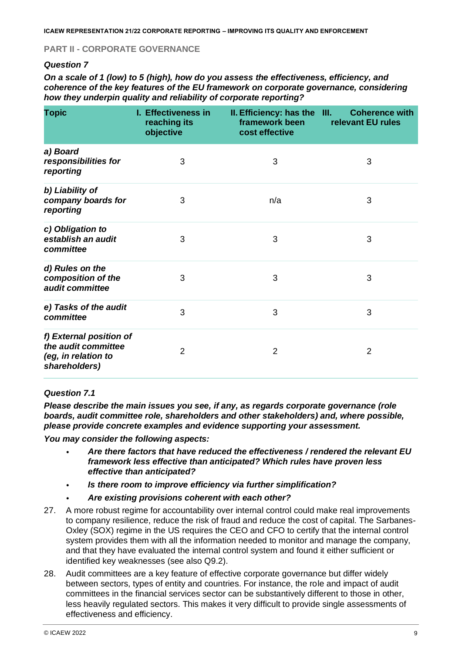### **PART II - CORPORATE GOVERNANCE**

### *Question 7*

*On a scale of 1 (low) to 5 (high), how do you assess the effectiveness, efficiency, and coherence of the key features of the EU framework on corporate governance, considering how they underpin quality and reliability of corporate reporting?*

| <b>Topic</b>                                                                           | I. Effectiveness in<br>reaching its<br>objective | II. Efficiency: has the III.<br>framework been<br>cost effective | <b>Coherence with</b><br>relevant EU rules |
|----------------------------------------------------------------------------------------|--------------------------------------------------|------------------------------------------------------------------|--------------------------------------------|
| a) Board<br>responsibilities for<br>reporting                                          | 3                                                | 3                                                                | 3                                          |
| b) Liability of<br>company boards for<br>reporting                                     | 3                                                | n/a                                                              | 3                                          |
| c) Obligation to<br>establish an audit<br>committee                                    | 3                                                | 3                                                                | 3                                          |
| d) Rules on the<br>composition of the<br>audit committee                               | 3                                                | 3                                                                | 3                                          |
| e) Tasks of the audit<br>committee                                                     | 3                                                | 3                                                                | 3                                          |
| f) External position of<br>the audit committee<br>(eg, in relation to<br>shareholders) | $\overline{2}$                                   | $\overline{2}$                                                   | 2                                          |

#### *Question 7.1*

*Please describe the main issues you see, if any, as regards corporate governance (role boards, audit committee role, shareholders and other stakeholders) and, where possible, please provide concrete examples and evidence supporting your assessment.* 

*You may consider the following aspects:* 

- *Are there factors that have reduced the effectiveness / rendered the relevant EU framework less effective than anticipated? Which rules have proven less effective than anticipated?*
- *Is there room to improve efficiency via further simplification?*
- *Are existing provisions coherent with each other?*
- 27. A more robust regime for accountability over internal control could make real improvements to company resilience, reduce the risk of fraud and reduce the cost of capital. The Sarbanes-Oxley (SOX) regime in the US requires the CEO and CFO to certify that the internal control system provides them with all the information needed to monitor and manage the company, and that they have evaluated the internal control system and found it either sufficient or identified key weaknesses (see also Q9.2).
- 28. Audit committees are a key feature of effective corporate governance but differ widely between sectors, types of entity and countries. For instance, the role and impact of audit committees in the financial services sector can be substantively different to those in other, less heavily regulated sectors. This makes it very difficult to provide single assessments of effectiveness and efficiency.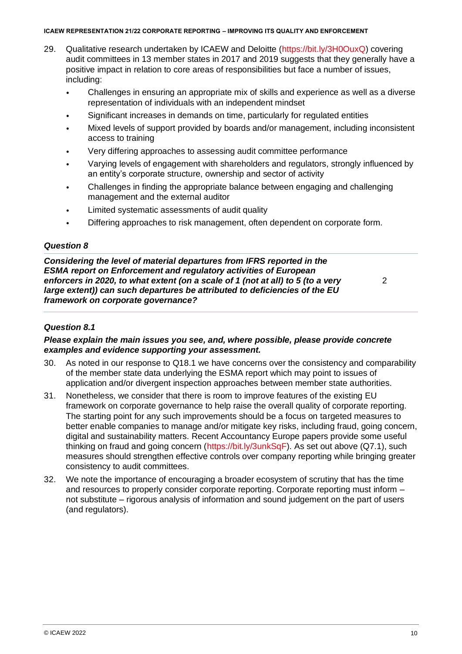- 29. Qualitative research undertaken by ICAEW and Deloitte (https://bit.ly/3H0OuxQ) covering audit committees in 13 member states in 2017 and 2019 suggests that they generally have a positive impact in relation to core areas of responsibilities but face a number of issues, including:
	- Challenges in ensuring an appropriate mix of skills and experience as well as a diverse representation of individuals with an independent mindset
	- Significant increases in demands on time, particularly for regulated entities
	- Mixed levels of support provided by boards and/or management, including inconsistent access to training
	- Very differing approaches to assessing audit committee performance
	- Varying levels of engagement with shareholders and regulators, strongly influenced by an entity's corporate structure, ownership and sector of activity
	- Challenges in finding the appropriate balance between engaging and challenging management and the external auditor
	- Limited systematic assessments of audit quality
	- Differing approaches to risk management, often dependent on corporate form.

#### *Question 8*

*Considering the level of material departures from IFRS reported in the ESMA report on Enforcement and regulatory activities of European enforcers in 2020, to what extent (on a scale of 1 (not at all) to 5 (to a very large extent)) can such departures be attributed to deficiencies of the EU framework on corporate governance?* 

2

#### *Question 8.1*

#### *Please explain the main issues you see, and, where possible, please provide concrete examples and evidence supporting your assessment.*

- 30. As noted in our response to Q18.1 we have concerns over the consistency and comparability of the member state data underlying the ESMA report which may point to issues of application and/or divergent inspection approaches between member state authorities.
- 31. Nonetheless, we consider that there is room to improve features of the existing EU framework on corporate governance to help raise the overall quality of corporate reporting. The starting point for any such improvements should be a focus on targeted measures to better enable companies to manage and/or mitigate key risks, including fraud, going concern, digital and sustainability matters. Recent Accountancy Europe papers provide some useful thinking on fraud and going concern (https://bit.ly/3unkSqF). As set out above (Q7.1), such measures should strengthen effective controls over company reporting while bringing greater consistency to audit committees.
- 32. We note the importance of encouraging a broader ecosystem of scrutiny that has the time and resources to properly consider corporate reporting. Corporate reporting must inform – not substitute – rigorous analysis of information and sound judgement on the part of users (and regulators).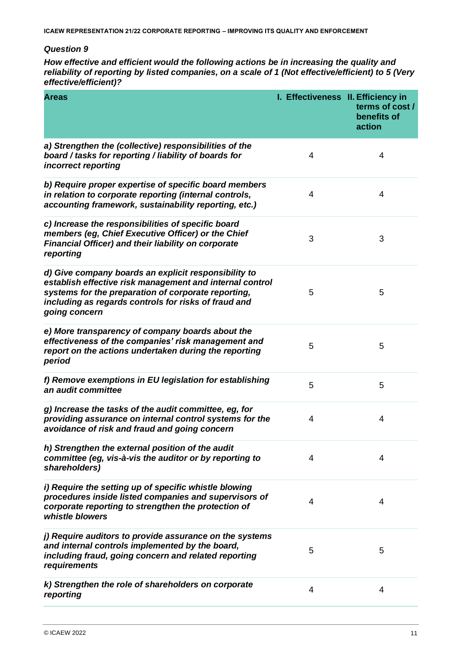*How effective and efficient would the following actions be in increasing the quality and reliability of reporting by listed companies, on a scale of 1 (Not effective/efficient) to 5 (Very effective/efficient)?*

| <b>Areas</b>                                                                                                                                                                                                                                     | I. Effectiveness II. Efficiency in | terms of cost /<br>benefits of<br>action |
|--------------------------------------------------------------------------------------------------------------------------------------------------------------------------------------------------------------------------------------------------|------------------------------------|------------------------------------------|
| a) Strengthen the (collective) responsibilities of the<br>board / tasks for reporting / liability of boards for<br>incorrect reporting                                                                                                           | 4                                  | 4                                        |
| b) Require proper expertise of specific board members<br>in relation to corporate reporting (internal controls,<br>accounting framework, sustainability reporting, etc.)                                                                         | $\overline{4}$                     | 4                                        |
| c) Increase the responsibilities of specific board<br>members (eg, Chief Executive Officer) or the Chief<br><b>Financial Officer) and their liability on corporate</b><br>reporting                                                              | 3                                  | 3                                        |
| d) Give company boards an explicit responsibility to<br>establish effective risk management and internal control<br>systems for the preparation of corporate reporting,<br>including as regards controls for risks of fraud and<br>going concern | 5                                  | 5                                        |
| e) More transparency of company boards about the<br>effectiveness of the companies' risk management and<br>report on the actions undertaken during the reporting<br>period                                                                       | 5                                  | 5                                        |
| f) Remove exemptions in EU legislation for establishing<br>an audit committee                                                                                                                                                                    | 5                                  | 5                                        |
| g) Increase the tasks of the audit committee, eg, for<br>providing assurance on internal control systems for the<br>avoidance of risk and fraud and going concern                                                                                | 4                                  | 4                                        |
| h) Strengthen the external position of the audit<br>committee (eg, vis-à-vis the auditor or by reporting to<br>shareholders)                                                                                                                     | 4                                  | 4                                        |
| i) Require the setting up of specific whistle blowing<br>procedures inside listed companies and supervisors of<br>corporate reporting to strengthen the protection of<br>whistle blowers                                                         | 4                                  | 4                                        |
| j) Require auditors to provide assurance on the systems<br>and internal controls implemented by the board,<br>including fraud, going concern and related reporting<br>requirements                                                               | 5                                  | 5                                        |
| k) Strengthen the role of shareholders on corporate<br>reporting                                                                                                                                                                                 | 4                                  | 4                                        |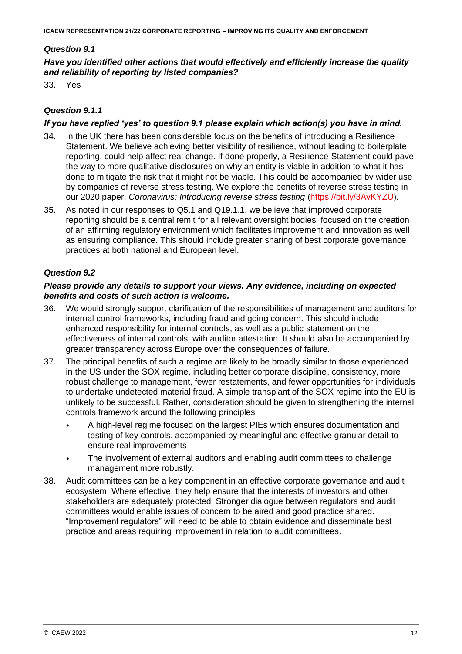### *Question 9.1*

### *Have you identified other actions that would effectively and efficiently increase the quality and reliability of reporting by listed companies?*

33. Yes

### *Question 9.1.1*

### *If you have replied 'yes' to question 9.1 please explain which action(s) you have in mind.*

- 34. In the UK there has been considerable focus on the benefits of introducing a Resilience Statement. We believe achieving better visibility of resilience, without leading to boilerplate reporting, could help affect real change. If done properly, a Resilience Statement could pave the way to more qualitative disclosures on why an entity is viable in addition to what it has done to mitigate the risk that it might not be viable. This could be accompanied by wider use by companies of reverse stress testing. We explore the benefits of reverse stress testing in our 2020 paper, *Coronavirus: Introducing reverse stress testing* (https://bit.ly/3AvKYZU).
- 35. As noted in our responses to Q5.1 and Q19.1.1, we believe that improved corporate reporting should be a central remit for all relevant oversight bodies, focused on the creation of an affirming regulatory environment which facilitates improvement and innovation as well as ensuring compliance. This should include greater sharing of best corporate governance practices at both national and European level.

#### *Question 9.2*

#### *Please provide any details to support your views. Any evidence, including on expected benefits and costs of such action is welcome.*

- 36. We would strongly support clarification of the responsibilities of management and auditors for internal control frameworks, including fraud and going concern. This should include enhanced responsibility for internal controls, as well as a public statement on the effectiveness of internal controls, with auditor attestation. It should also be accompanied by greater transparency across Europe over the consequences of failure.
- 37. The principal benefits of such a regime are likely to be broadly similar to those experienced in the US under the SOX regime, including better corporate discipline, consistency, more robust challenge to management, fewer restatements, and fewer opportunities for individuals to undertake undetected material fraud. A simple transplant of the SOX regime into the EU is unlikely to be successful. Rather, consideration should be given to strengthening the internal controls framework around the following principles:
	- A high-level regime focused on the largest PIEs which ensures documentation and testing of key controls, accompanied by meaningful and effective granular detail to ensure real improvements
	- The involvement of external auditors and enabling audit committees to challenge management more robustly.
- 38. Audit committees can be a key component in an effective corporate governance and audit ecosystem. Where effective, they help ensure that the interests of investors and other stakeholders are adequately protected. Stronger dialogue between regulators and audit committees would enable issues of concern to be aired and good practice shared. "Improvement regulators" will need to be able to obtain evidence and disseminate best practice and areas requiring improvement in relation to audit committees.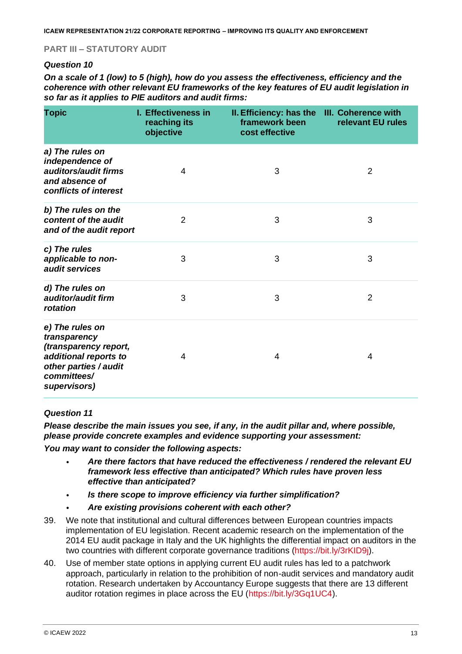### **PART III – STATUTORY AUDIT**

#### *Question 10*

*On a scale of 1 (low) to 5 (high), how do you assess the effectiveness, efficiency and the coherence with other relevant EU frameworks of the key features of EU audit legislation in so far as it applies to PIE auditors and audit firms:*

| <b>Topic</b>                                                                                                                              | <b>I. Effectiveness in</b><br>reaching its<br>objective | II. Efficiency: has the III. Coherence with<br>framework been<br>cost effective | relevant EU rules |
|-------------------------------------------------------------------------------------------------------------------------------------------|---------------------------------------------------------|---------------------------------------------------------------------------------|-------------------|
| a) The rules on<br>independence of<br>auditors/audit firms<br>and absence of<br>conflicts of interest                                     | 4                                                       | 3                                                                               | $\overline{2}$    |
| b) The rules on the<br>content of the audit<br>and of the audit report                                                                    | $\overline{2}$                                          | 3                                                                               | 3                 |
| c) The rules<br>applicable to non-<br>audit services                                                                                      | 3                                                       | 3                                                                               | 3                 |
| d) The rules on<br>auditor/audit firm<br>rotation                                                                                         | 3                                                       | 3                                                                               | $\overline{2}$    |
| e) The rules on<br>transparency<br>(transparency report,<br>additional reports to<br>other parties / audit<br>committees/<br>supervisors) | 4                                                       | 4                                                                               | 4                 |

#### *Question 11*

*Please describe the main issues you see, if any, in the audit pillar and, where possible, please provide concrete examples and evidence supporting your assessment:*

*You may want to consider the following aspects:*

- *Are there factors that have reduced the effectiveness / rendered the relevant EU framework less effective than anticipated? Which rules have proven less effective than anticipated?*
- *Is there scope to improve efficiency via further simplification?*
- *Are existing provisions coherent with each other?*
- 39. We note that institutional and cultural differences between European countries impacts implementation of EU legislation. Recent academic research on the implementation of the 2014 EU audit package in Italy and the UK highlights the differential impact on auditors in the two countries with different corporate governance traditions (https://bit.ly/3rKID9j).
- 40. Use of member state options in applying current EU audit rules has led to a patchwork approach, particularly in relation to the prohibition of non-audit services and mandatory audit rotation. Research undertaken by Accountancy Europe suggests that there are 13 different auditor rotation regimes in place across the EU (https://bit.ly/3Gq1UC4).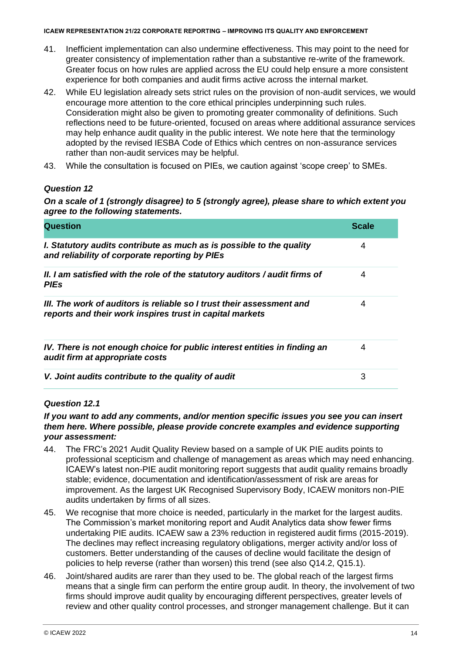- 41. Inefficient implementation can also undermine effectiveness. This may point to the need for greater consistency of implementation rather than a substantive re-write of the framework. Greater focus on how rules are applied across the EU could help ensure a more consistent experience for both companies and audit firms active across the internal market.
- 42. While EU legislation already sets strict rules on the provision of non-audit services, we would encourage more attention to the core ethical principles underpinning such rules. Consideration might also be given to promoting greater commonality of definitions. Such reflections need to be future-oriented, focused on areas where additional assurance services may help enhance audit quality in the public interest. We note here that the terminology adopted by the revised IESBA Code of Ethics which centres on non-assurance services rather than non-audit services may be helpful.
- 43. While the consultation is focused on PIEs, we caution against 'scope creep' to SMEs.

# *Question 12*

*On a scale of 1 (strongly disagree) to 5 (strongly agree), please share to which extent you agree to the following statements.*

| <b>Question</b>                                                                                                                   | <b>Scale</b> |
|-----------------------------------------------------------------------------------------------------------------------------------|--------------|
| I. Statutory audits contribute as much as is possible to the quality<br>and reliability of corporate reporting by PIEs            | 4            |
| II. I am satisfied with the role of the statutory auditors / audit firms of<br><b>PIEs</b>                                        | 4            |
| III. The work of auditors is reliable so I trust their assessment and<br>reports and their work inspires trust in capital markets | 4            |
| IV. There is not enough choice for public interest entities in finding an<br>audit firm at appropriate costs                      | 4            |
| V. Joint audits contribute to the quality of audit                                                                                | 3            |

# *Question 12.1*

### *If you want to add any comments, and/or mention specific issues you see you can insert them here. Where possible, please provide concrete examples and evidence supporting your assessment:*

- 44. The FRC's 2021 Audit Quality Review based on a sample of UK PIE audits points to professional scepticism and challenge of management as areas which may need enhancing. ICAEW's latest non-PIE audit monitoring report suggests that audit quality remains broadly stable; evidence, documentation and identification/assessment of risk are areas for improvement. As the largest UK Recognised Supervisory Body, ICAEW monitors non-PIE audits undertaken by firms of all sizes.
- 45. We recognise that more choice is needed, particularly in the market for the largest audits. The Commission's market monitoring report and Audit Analytics data show fewer firms undertaking PIE audits. ICAEW saw a 23% reduction in registered audit firms (2015-2019). The declines may reflect increasing regulatory obligations, merger activity and/or loss of customers. Better understanding of the causes of decline would facilitate the design of policies to help reverse (rather than worsen) this trend (see also Q14.2, Q15.1).
- 46. Joint/shared audits are rarer than they used to be. The global reach of the largest firms means that a single firm can perform the entire group audit. In theory, the involvement of two firms should improve audit quality by encouraging different perspectives, greater levels of review and other quality control processes, and stronger management challenge. But it can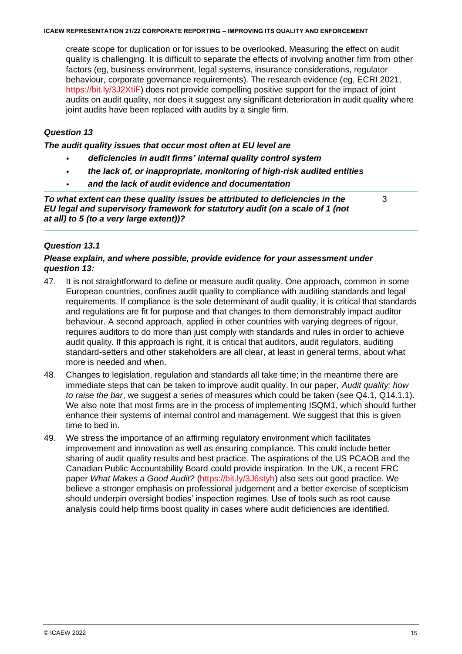create scope for duplication or for issues to be overlooked. Measuring the effect on audit quality is challenging. It is difficult to separate the effects of involving another firm from other factors (eg, business environment, legal systems, insurance considerations, regulator behaviour, corporate governance requirements). The research evidence (eg, ECRI 2021, https://bit.ly/3J2XtiF) does not provide compelling positive support for the impact of joint audits on audit quality, nor does it suggest any significant deterioration in audit quality where joint audits have been replaced with audits by a single firm.

# *Question 13*

*The audit quality issues that occur most often at EU level are*

- *deficiencies in audit firms' internal quality control system*
- *the lack of, or inappropriate, monitoring of high-risk audited entities*
- *and the lack of audit evidence and documentation*

*To what extent can these quality issues be attributed to deficiencies in the EU legal and supervisory framework for statutory audit (on a scale of 1 (not at all) to 5 (to a very large extent))?*

3

#### *Question 13.1*

#### *Please explain, and where possible, provide evidence for your assessment under question 13:*

- 47. It is not straightforward to define or measure audit quality. One approach, common in some European countries, confines audit quality to compliance with auditing standards and legal requirements. If compliance is the sole determinant of audit quality, it is critical that standards and regulations are fit for purpose and that changes to them demonstrably impact auditor behaviour. A second approach, applied in other countries with varying degrees of rigour, requires auditors to do more than just comply with standards and rules in order to achieve audit quality. If this approach is right, it is critical that auditors, audit regulators, auditing standard-setters and other stakeholders are all clear, at least in general terms, about what more is needed and when.
- 48. Changes to legislation, regulation and standards all take time; in the meantime there are immediate steps that can be taken to improve audit quality. In our paper, *Audit quality: how to raise the bar*, we suggest a series of measures which could be taken (see Q4.1, Q14.1.1). We also note that most firms are in the process of implementing ISQM1, which should further enhance their systems of internal control and management. We suggest that this is given time to bed in.
- 49. We stress the importance of an affirming regulatory environment which facilitates improvement and innovation as well as ensuring compliance. This could include better sharing of audit quality results and best practice. The aspirations of the US PCAOB and the Canadian Public Accountability Board could provide inspiration. In the UK, a recent FRC paper *What Makes a Good Audit?* (https://bit.ly/3J6styh) also sets out good practice. We believe a stronger emphasis on professional judgement and a better exercise of scepticism should underpin oversight bodies' inspection regimes. Use of tools such as root cause analysis could help firms boost quality in cases where audit deficiencies are identified.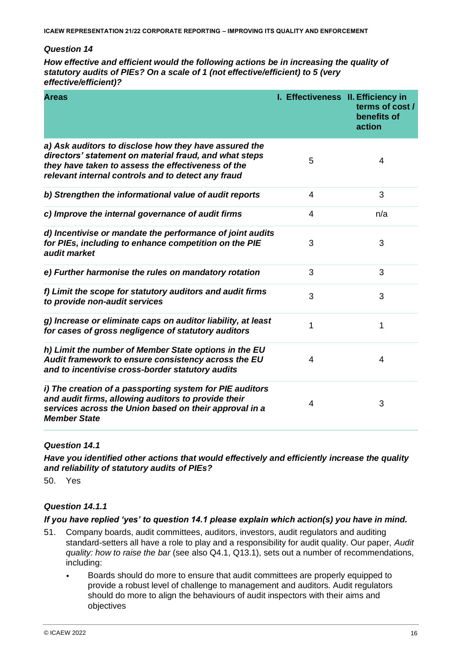*How effective and efficient would the following actions be in increasing the quality of statutory audits of PIEs? On a scale of 1 (not effective/efficient) to 5 (very effective/efficient)?*

| <b>Areas</b>                                                                                                                                                                                                                | I. Effectiveness II. Efficiency in | terms of cost /<br>benefits of<br>action |
|-----------------------------------------------------------------------------------------------------------------------------------------------------------------------------------------------------------------------------|------------------------------------|------------------------------------------|
| a) Ask auditors to disclose how they have assured the<br>directors' statement on material fraud, and what steps<br>they have taken to assess the effectiveness of the<br>relevant internal controls and to detect any fraud | 5                                  | 4                                        |
| b) Strengthen the informational value of audit reports                                                                                                                                                                      | 4                                  | 3                                        |
| c) Improve the internal governance of audit firms                                                                                                                                                                           | $\overline{4}$                     | n/a                                      |
| d) Incentivise or mandate the performance of joint audits<br>for PIEs, including to enhance competition on the PIE<br>audit market                                                                                          | 3                                  | 3                                        |
| e) Further harmonise the rules on mandatory rotation                                                                                                                                                                        | 3                                  | 3                                        |
| f) Limit the scope for statutory auditors and audit firms<br>to provide non-audit services                                                                                                                                  | 3                                  | 3                                        |
| g) Increase or eliminate caps on auditor liability, at least<br>for cases of gross negligence of statutory auditors                                                                                                         | 1                                  | 1                                        |
| h) Limit the number of Member State options in the EU<br>Audit framework to ensure consistency across the EU<br>and to incentivise cross-border statutory audits                                                            | $\overline{4}$                     | 4                                        |
| i) The creation of a passporting system for PIE auditors<br>and audit firms, allowing auditors to provide their<br>services across the Union based on their approval in a<br><b>Member State</b>                            | $\overline{4}$                     | 3                                        |

#### *Question 14.1*

*Have you identified other actions that would effectively and efficiently increase the quality and reliability of statutory audits of PIEs?*

50. Yes

#### *Question 14.1.1*

#### *If you have replied 'yes' to question 14.1 please explain which action(s) you have in mind.*

- 51. Company boards, audit committees, auditors, investors, audit regulators and auditing standard-setters all have a role to play and a responsibility for audit quality. Our paper, *Audit quality: how to raise the bar* (see also Q4.1, Q13.1), sets out a number of recommendations, including:
	- Boards should do more to ensure that audit committees are properly equipped to provide a robust level of challenge to management and auditors. Audit regulators should do more to align the behaviours of audit inspectors with their aims and objectives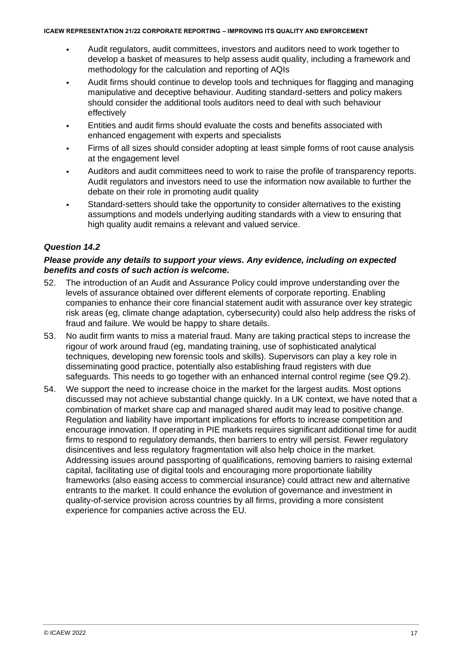- Audit regulators, audit committees, investors and auditors need to work together to develop a basket of measures to help assess audit quality, including a framework and methodology for the calculation and reporting of AQIs
- Audit firms should continue to develop tools and techniques for flagging and managing manipulative and deceptive behaviour. Auditing standard-setters and policy makers should consider the additional tools auditors need to deal with such behaviour effectively
- Entities and audit firms should evaluate the costs and benefits associated with enhanced engagement with experts and specialists
- Firms of all sizes should consider adopting at least simple forms of root cause analysis at the engagement level
- Auditors and audit committees need to work to raise the profile of transparency reports. Audit regulators and investors need to use the information now available to further the debate on their role in promoting audit quality
- Standard-setters should take the opportunity to consider alternatives to the existing assumptions and models underlying auditing standards with a view to ensuring that high quality audit remains a relevant and valued service.

### *Question 14.2*

#### *Please provide any details to support your views. Any evidence, including on expected benefits and costs of such action is welcome.*

- 52. The introduction of an Audit and Assurance Policy could improve understanding over the levels of assurance obtained over different elements of corporate reporting. Enabling companies to enhance their core financial statement audit with assurance over key strategic risk areas (eg, climate change adaptation, cybersecurity) could also help address the risks of fraud and failure. We would be happy to share details.
- 53. No audit firm wants to miss a material fraud. Many are taking practical steps to increase the rigour of work around fraud (eg, mandating training, use of sophisticated analytical techniques, developing new forensic tools and skills). Supervisors can play a key role in disseminating good practice, potentially also establishing fraud registers with due safeguards. This needs to go together with an enhanced internal control regime (see Q9.2).
- 54. We support the need to increase choice in the market for the largest audits. Most options discussed may not achieve substantial change quickly. In a UK context, we have noted that a combination of market share cap and managed shared audit may lead to positive change. Regulation and liability have important implications for efforts to increase competition and encourage innovation. If operating in PIE markets requires significant additional time for audit firms to respond to regulatory demands, then barriers to entry will persist. Fewer regulatory disincentives and less regulatory fragmentation will also help choice in the market. Addressing issues around passporting of qualifications, removing barriers to raising external capital, facilitating use of digital tools and encouraging more proportionate liability frameworks (also easing access to commercial insurance) could attract new and alternative entrants to the market. It could enhance the evolution of governance and investment in quality-of-service provision across countries by all firms, providing a more consistent experience for companies active across the EU.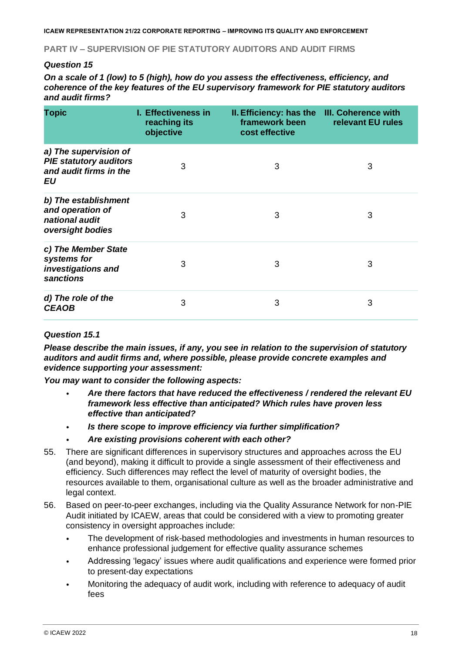#### **PART IV – SUPERVISION OF PIE STATUTORY AUDITORS AND AUDIT FIRMS**

#### *Question 15*

*On a scale of 1 (low) to 5 (high), how do you assess the effectiveness, efficiency, and coherence of the key features of the EU supervisory framework for PIE statutory auditors and audit firms?*

| <b>Topic</b>                                                                           | <b>I. Effectiveness in</b><br>reaching its<br>objective | II. Efficiency: has the III. Coherence with<br>framework been<br>cost effective | relevant EU rules |
|----------------------------------------------------------------------------------------|---------------------------------------------------------|---------------------------------------------------------------------------------|-------------------|
| a) The supervision of<br><b>PIE statutory auditors</b><br>and audit firms in the<br>EU | 3                                                       | 3                                                                               | 3                 |
| b) The establishment<br>and operation of<br>national audit<br>oversight bodies         | 3                                                       | 3                                                                               | 3                 |
| c) The Member State<br>systems for<br>investigations and<br>sanctions                  | 3                                                       | 3                                                                               | 3                 |
| d) The role of the<br><b>CEAOB</b>                                                     | 3                                                       | 3                                                                               | 3                 |

#### *Question 15.1*

*Please describe the main issues, if any, you see in relation to the supervision of statutory auditors and audit firms and, where possible, please provide concrete examples and evidence supporting your assessment:*

*You may want to consider the following aspects:*

- *Are there factors that have reduced the effectiveness / rendered the relevant EU framework less effective than anticipated? Which rules have proven less effective than anticipated?*
- *Is there scope to improve efficiency via further simplification?*
- *Are existing provisions coherent with each other?*
- 55. There are significant differences in supervisory structures and approaches across the EU (and beyond), making it difficult to provide a single assessment of their effectiveness and efficiency. Such differences may reflect the level of maturity of oversight bodies, the resources available to them, organisational culture as well as the broader administrative and legal context.
- 56. Based on peer-to-peer exchanges, including via the Quality Assurance Network for non-PIE Audit initiated by ICAEW, areas that could be considered with a view to promoting greater consistency in oversight approaches include:
	- The development of risk-based methodologies and investments in human resources to enhance professional judgement for effective quality assurance schemes
	- Addressing 'legacy' issues where audit qualifications and experience were formed prior to present-day expectations
	- Monitoring the adequacy of audit work, including with reference to adequacy of audit fees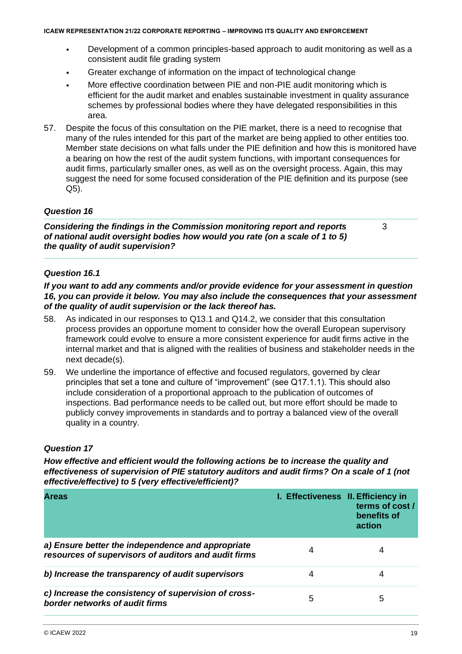- Development of a common principles-based approach to audit monitoring as well as a consistent audit file grading system
- Greater exchange of information on the impact of technological change
- More effective coordination between PIE and non-PIE audit monitoring which is efficient for the audit market and enables sustainable investment in quality assurance schemes by professional bodies where they have delegated responsibilities in this area.
- 57. Despite the focus of this consultation on the PIE market, there is a need to recognise that many of the rules intended for this part of the market are being applied to other entities too. Member state decisions on what falls under the PIE definition and how this is monitored have a bearing on how the rest of the audit system functions, with important consequences for audit firms, particularly smaller ones, as well as on the oversight process. Again, this may suggest the need for some focused consideration of the PIE definition and its purpose (see Q5).

*Considering the findings in the Commission monitoring report and reports of national audit oversight bodies how would you rate (on a scale of 1 to 5) the quality of audit supervision?*

3

#### *Question 16.1*

*If you want to add any comments and/or provide evidence for your assessment in question 16, you can provide it below. You may also include the consequences that your assessment of the quality of audit supervision or the lack thereof has.*

- 58. As indicated in our responses to Q13.1 and Q14.2, we consider that this consultation process provides an opportune moment to consider how the overall European supervisory framework could evolve to ensure a more consistent experience for audit firms active in the internal market and that is aligned with the realities of business and stakeholder needs in the next decade(s).
- 59. We underline the importance of effective and focused regulators, governed by clear principles that set a tone and culture of "improvement" (see Q17.1.1). This should also include consideration of a proportional approach to the publication of outcomes of inspections. Bad performance needs to be called out, but more effort should be made to publicly convey improvements in standards and to portray a balanced view of the overall quality in a country.

# *Question 17*

*How effective and efficient would the following actions be to increase the quality and effectiveness of supervision of PIE statutory auditors and audit firms? On a scale of 1 (not effective/effective) to 5 (very effective/efficient)?*

| <b>Areas</b>                                                                                              | I. Effectiveness II. Efficiency in | terms of cost /<br>benefits of<br>action |
|-----------------------------------------------------------------------------------------------------------|------------------------------------|------------------------------------------|
| a) Ensure better the independence and appropriate<br>resources of supervisors of auditors and audit firms | 4                                  |                                          |
| b) Increase the transparency of audit supervisors                                                         |                                    | 4                                        |
| c) Increase the consistency of supervision of cross-<br>border networks of audit firms                    | 5                                  | 5                                        |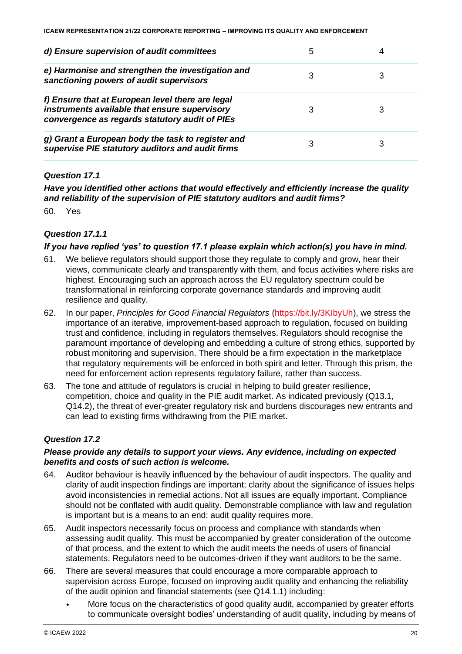| d) Ensure supervision of audit committees                                                                                                           |  |
|-----------------------------------------------------------------------------------------------------------------------------------------------------|--|
| e) Harmonise and strengthen the investigation and<br>sanctioning powers of audit supervisors                                                        |  |
| f) Ensure that at European level there are legal<br>instruments available that ensure supervisory<br>convergence as regards statutory audit of PIEs |  |
| g) Grant a European body the task to register and<br>supervise PIE statutory auditors and audit firms                                               |  |

### *Question 17.1*

*Have you identified other actions that would effectively and efficiently increase the quality and reliability of the supervision of PIE statutory auditors and audit firms?*

60. Yes

### *Question 17.1.1*

#### *If you have replied 'yes' to question 17.1 please explain which action(s) you have in mind.*

- 61. We believe regulators should support those they regulate to comply and grow, hear their views, communicate clearly and transparently with them, and focus activities where risks are highest. Encouraging such an approach across the EU regulatory spectrum could be transformational in reinforcing corporate governance standards and improving audit resilience and quality.
- 62. In our paper, *Principles for Good Financial Regulators* (https://bit.ly/3KIbyUh), we stress the importance of an iterative, improvement-based approach to regulation, focused on building trust and confidence, including in regulators themselves. Regulators should recognise the paramount importance of developing and embedding a culture of strong ethics, supported by robust monitoring and supervision. There should be a firm expectation in the marketplace that regulatory requirements will be enforced in both spirit and letter. Through this prism, the need for enforcement action represents regulatory failure, rather than success.
- 63. The tone and attitude of regulators is crucial in helping to build greater resilience, competition, choice and quality in the PIE audit market. As indicated previously (Q13.1, Q14.2), the threat of ever-greater regulatory risk and burdens discourages new entrants and can lead to existing firms withdrawing from the PIE market.

#### *Question 17.2*

#### *Please provide any details to support your views. Any evidence, including on expected benefits and costs of such action is welcome.*

- 64. Auditor behaviour is heavily influenced by the behaviour of audit inspectors. The quality and clarity of audit inspection findings are important; clarity about the significance of issues helps avoid inconsistencies in remedial actions. Not all issues are equally important. Compliance should not be conflated with audit quality. Demonstrable compliance with law and regulation is important but is a means to an end: audit quality requires more.
- 65. Audit inspectors necessarily focus on process and compliance with standards when assessing audit quality. This must be accompanied by greater consideration of the outcome of that process, and the extent to which the audit meets the needs of users of financial statements. Regulators need to be outcomes-driven if they want auditors to be the same.
- 66. There are several measures that could encourage a more comparable approach to supervision across Europe, focused on improving audit quality and enhancing the reliability of the audit opinion and financial statements (see Q14.1.1) including:
	- More focus on the characteristics of good quality audit, accompanied by greater efforts to communicate oversight bodies' understanding of audit quality, including by means of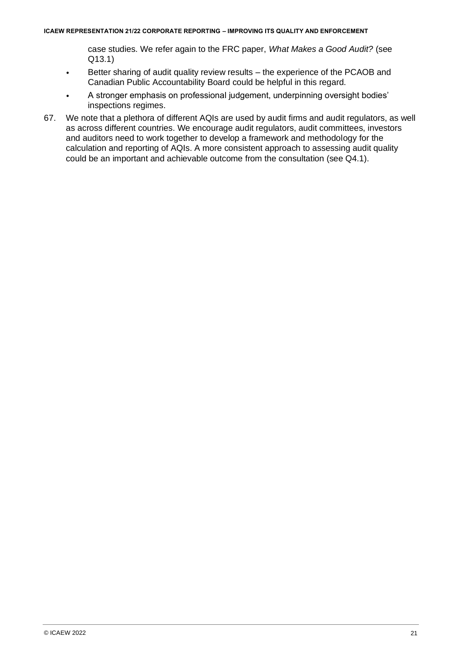case studies. We refer again to the FRC paper, *What Makes a Good Audit?* (see Q13.1)

- Better sharing of audit quality review results the experience of the PCAOB and Canadian Public Accountability Board could be helpful in this regard.
- A stronger emphasis on professional judgement, underpinning oversight bodies' inspections regimes.
- 67. We note that a plethora of different AQIs are used by audit firms and audit regulators, as well as across different countries. We encourage audit regulators, audit committees, investors and auditors need to work together to develop a framework and methodology for the calculation and reporting of AQIs. A more consistent approach to assessing audit quality could be an important and achievable outcome from the consultation (see Q4.1).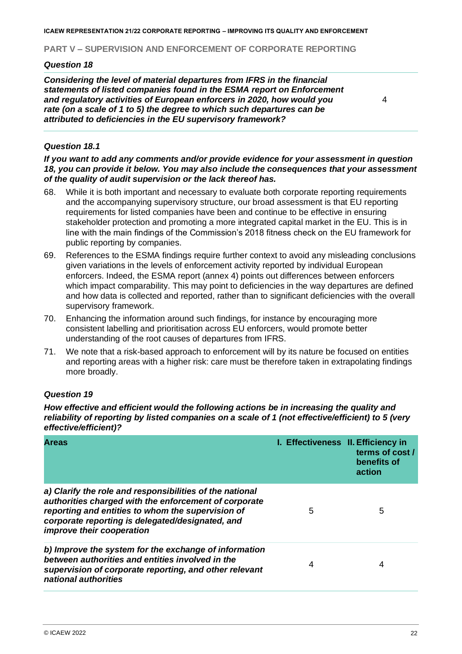#### **PART V – SUPERVISION AND ENFORCEMENT OF CORPORATE REPORTING**

#### *Question 18*

*Considering the level of material departures from IFRS in the financial statements of listed companies found in the ESMA report on Enforcement and regulatory activities of European enforcers in 2020, how would you rate (on a scale of 1 to 5) the degree to which such departures can be attributed to deficiencies in the EU supervisory framework?*

4

#### *Question 18.1*

*If you want to add any comments and/or provide evidence for your assessment in question 18, you can provide it below. You may also include the consequences that your assessment of the quality of audit supervision or the lack thereof has.*

- 68. While it is both important and necessary to evaluate both corporate reporting requirements and the accompanying supervisory structure, our broad assessment is that EU reporting requirements for listed companies have been and continue to be effective in ensuring stakeholder protection and promoting a more integrated capital market in the EU. This is in line with the main findings of the Commission's 2018 fitness check on the EU framework for public reporting by companies.
- 69. References to the ESMA findings require further context to avoid any misleading conclusions given variations in the levels of enforcement activity reported by individual European enforcers. Indeed, the ESMA report (annex 4) points out differences between enforcers which impact comparability. This may point to deficiencies in the way departures are defined and how data is collected and reported, rather than to significant deficiencies with the overall supervisory framework.
- 70. Enhancing the information around such findings, for instance by encouraging more consistent labelling and prioritisation across EU enforcers, would promote better understanding of the root causes of departures from IFRS.
- 71. We note that a risk-based approach to enforcement will by its nature be focused on entities and reporting areas with a higher risk: care must be therefore taken in extrapolating findings more broadly.

#### *Question 19*

*How effective and efficient would the following actions be in increasing the quality and reliability of reporting by listed companies on a scale of 1 (not effective/efficient) to 5 (very effective/efficient)?*

| <b>Areas</b>                                                                                                                                                                                                                                            | I. Effectiveness II. Efficiency in | terms of cost/<br>benefits of<br>action |
|---------------------------------------------------------------------------------------------------------------------------------------------------------------------------------------------------------------------------------------------------------|------------------------------------|-----------------------------------------|
| a) Clarify the role and responsibilities of the national<br>authorities charged with the enforcement of corporate<br>reporting and entities to whom the supervision of<br>corporate reporting is delegated/designated, and<br>improve their cooperation | 5                                  | 5                                       |
| b) Improve the system for the exchange of information<br>between authorities and entities involved in the<br>supervision of corporate reporting, and other relevant<br>national authorities                                                             | 4                                  | 4                                       |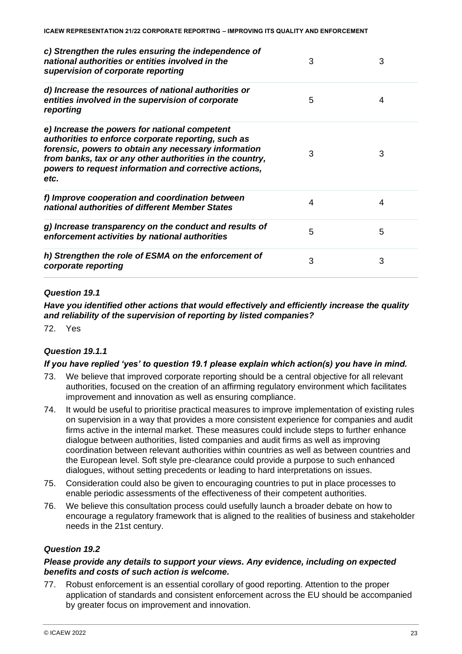| c) Strengthen the rules ensuring the independence of<br>national authorities or entities involved in the<br>supervision of corporate reporting                                                                                                                                            | 3 | 3 |
|-------------------------------------------------------------------------------------------------------------------------------------------------------------------------------------------------------------------------------------------------------------------------------------------|---|---|
| d) Increase the resources of national authorities or<br>entities involved in the supervision of corporate<br>reporting                                                                                                                                                                    | 5 | 4 |
| e) Increase the powers for national competent<br>authorities to enforce corporate reporting, such as<br>forensic, powers to obtain any necessary information<br>from banks, tax or any other authorities in the country,<br>powers to request information and corrective actions,<br>etc. | 3 | 3 |
| f) Improve cooperation and coordination between<br>national authorities of different Member States                                                                                                                                                                                        | 4 | 4 |
| g) Increase transparency on the conduct and results of<br>enforcement activities by national authorities                                                                                                                                                                                  | 5 | 5 |
| h) Strengthen the role of ESMA on the enforcement of<br>corporate reporting                                                                                                                                                                                                               | 3 | 3 |

#### *Question 19.1*

### *Have you identified other actions that would effectively and efficiently increase the quality and reliability of the supervision of reporting by listed companies?*

72. Yes

# *Question 19.1.1*

#### *If you have replied 'yes' to question 19.1 please explain which action(s) you have in mind.*

- 73. We believe that improved corporate reporting should be a central objective for all relevant authorities, focused on the creation of an affirming regulatory environment which facilitates improvement and innovation as well as ensuring compliance.
- 74. It would be useful to prioritise practical measures to improve implementation of existing rules on supervision in a way that provides a more consistent experience for companies and audit firms active in the internal market. These measures could include steps to further enhance dialogue between authorities, listed companies and audit firms as well as improving coordination between relevant authorities within countries as well as between countries and the European level. Soft style pre-clearance could provide a purpose to such enhanced dialogues, without setting precedents or leading to hard interpretations on issues.
- 75. Consideration could also be given to encouraging countries to put in place processes to enable periodic assessments of the effectiveness of their competent authorities.
- 76. We believe this consultation process could usefully launch a broader debate on how to encourage a regulatory framework that is aligned to the realities of business and stakeholder needs in the 21st century.

# *Question 19.2*

#### *Please provide any details to support your views. Any evidence, including on expected benefits and costs of such action is welcome.*

77. Robust enforcement is an essential corollary of good reporting. Attention to the proper application of standards and consistent enforcement across the EU should be accompanied by greater focus on improvement and innovation.